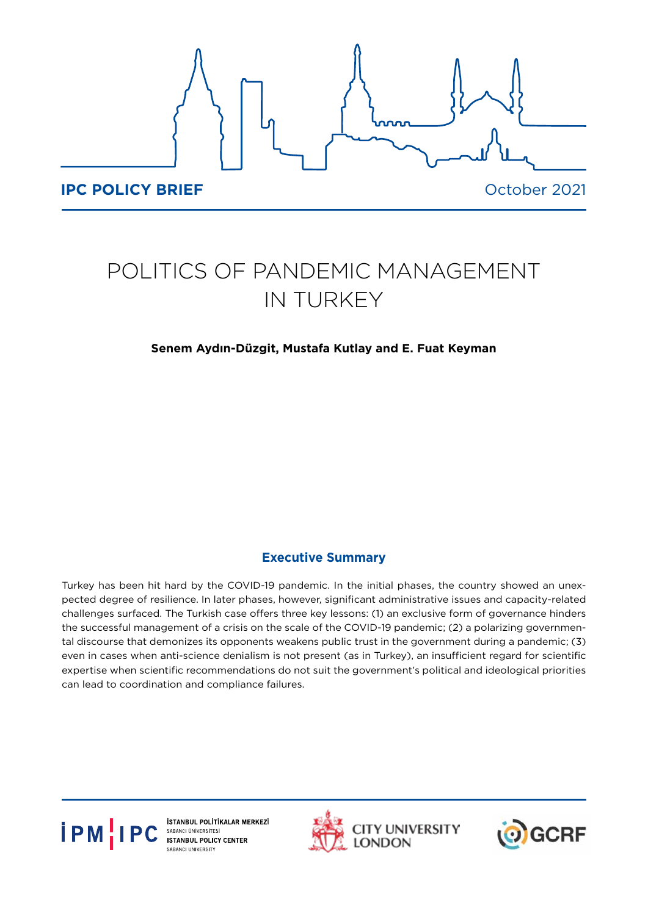

# POLITICS OF PANDEMIC MANAGEMENT IN TURKEY

## **Senem Aydın-Düzgit, Mustafa Kutlay and E. Fuat Keyman**

# **Executive Summary**

Turkey has been hit hard by the COVID-19 pandemic. In the initial phases, the country showed an unexpected degree of resilience. In later phases, however, significant administrative issues and capacity-related challenges surfaced. The Turkish case offers three key lessons: (1) an exclusive form of governance hinders the successful management of a crisis on the scale of the COVID-19 pandemic; (2) a polarizing governmental discourse that demonizes its opponents weakens public trust in the government during a pandemic; (3) even in cases when anti-science denialism is not present (as in Turkey), an insufficient regard for scientific expertise when scientific recommendations do not suit the government's political and ideological priorities can lead to coordination and compliance failures.



İSTANBUL POLİTİKALAR MERKEZİ<br>SABANCI ÜNİVERSİTESİ **ISTANBUL POLICY CENTER SABANCI UNIVERSITY** 



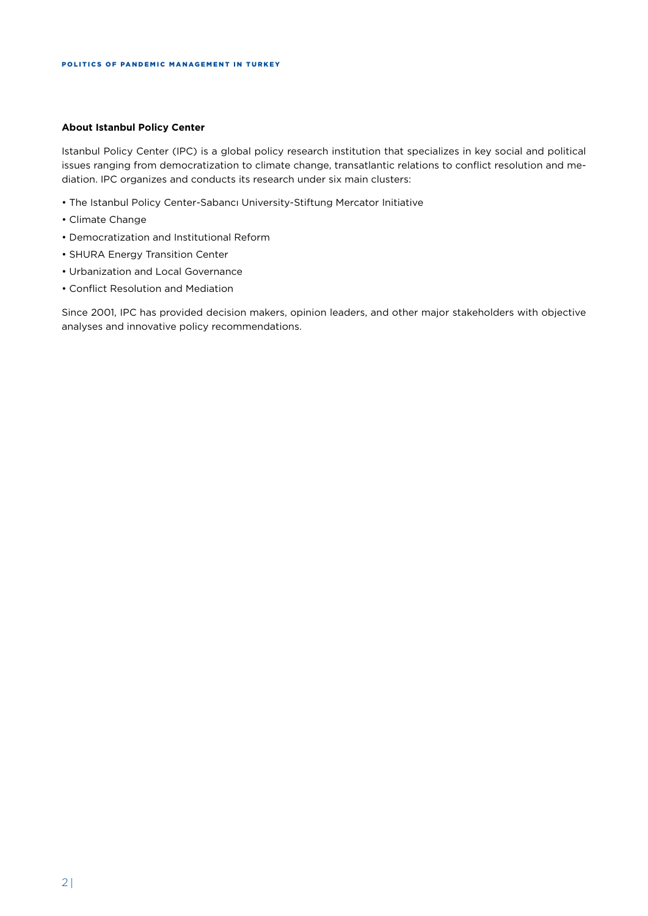#### **About Istanbul Policy Center**

Istanbul Policy Center (IPC) is a global policy research institution that specializes in key social and political issues ranging from democratization to climate change, transatlantic relations to conflict resolution and mediation. IPC organizes and conducts its research under six main clusters:

- The Istanbul Policy Center-Sabancı University-Stiftung Mercator Initiative
- Climate Change
- Democratization and Institutional Reform
- SHURA Energy Transition Center
- Urbanization and Local Governance
- Conflict Resolution and Mediation

Since 2001, IPC has provided decision makers, opinion leaders, and other major stakeholders with objective analyses and innovative policy recommendations.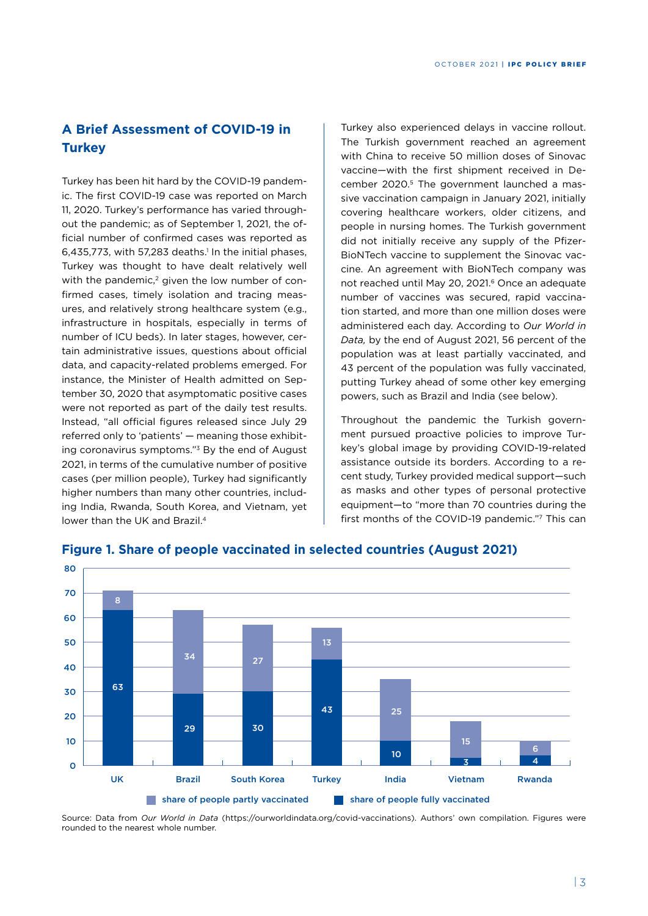# **A Brief Assessment of COVID-19 in Turkey**

Turkey has been hit hard by the COVID-19 pandemic. The first COVID-19 case was reported on March 11, 2020. Turkey's performance has varied throughout the pandemic; as of September 1, 2021, the official number of confirmed cases was reported as  $6,435,773$ , with 57,283 deaths.<sup>1</sup> In the initial phases, Turkey was thought to have dealt relatively well with the pandemic, $2$  given the low number of confirmed cases, timely isolation and tracing measures, and relatively strong healthcare system (e.g., infrastructure in hospitals, especially in terms of number of ICU beds). In later stages, however, certain administrative issues, questions about official data, and capacity-related problems emerged. For instance, the Minister of Health admitted on September 30, 2020 that asymptomatic positive cases were not reported as part of the daily test results. Instead, "all official figures released since July 29 referred only to 'patients' — meaning those exhibiting coronavirus symptoms."3 By the end of August 2021, in terms of the cumulative number of positive cases (per million people), Turkey had significantly higher numbers than many other countries, including India, Rwanda, South Korea, and Vietnam, yet lower than the UK and Brazil.<sup>4</sup>

Turkey also experienced delays in vaccine rollout. The Turkish government reached an agreement with China to receive 50 million doses of Sinovac vaccine—with the first shipment received in December 2020.<sup>5</sup> The government launched a massive vaccination campaign in January 2021, initially covering healthcare workers, older citizens, and people in nursing homes. The Turkish government did not initially receive any supply of the Pfizer-BioNTech vaccine to supplement the Sinovac vaccine. An agreement with BioNTech company was not reached until May 20, 2021.<sup>6</sup> Once an adequate number of vaccines was secured, rapid vaccination started, and more than one million doses were administered each day. According to *Our World in Data,* by the end of August 2021, 56 percent of the population was at least partially vaccinated, and 43 percent of the population was fully vaccinated, putting Turkey ahead of some other key emerging powers, such as Brazil and India (see below).

Throughout the pandemic the Turkish government pursued proactive policies to improve Turkey's global image by providing COVID-19-related assistance outside its borders. According to a recent study, Turkey provided medical support—such as masks and other types of personal protective equipment—to "more than 70 countries during the first months of the COVID-19 pandemic."7 This can



## **Figure 1. Share of people vaccinated in selected countries (August 2021)**

Source: Data from *Our World in Data* (https://ourworldindata.org/covid-vaccinations). Authors' own compilation. Figures were rounded to the nearest whole number.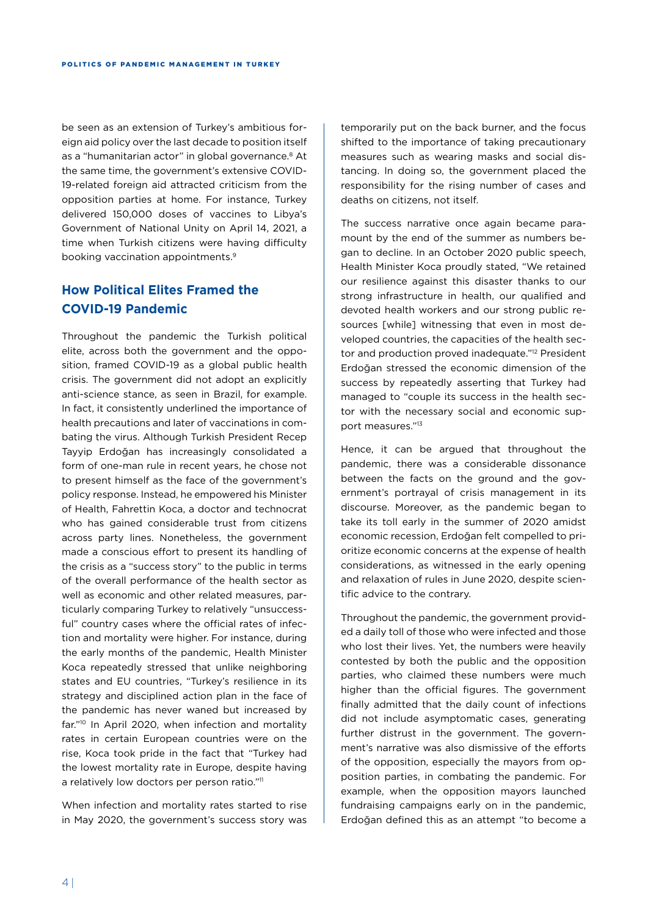be seen as an extension of Turkey's ambitious foreign aid policy over the last decade to position itself as a "humanitarian actor" in global governance.<sup>8</sup> At the same time, the government's extensive COVID-19-related foreign aid attracted criticism from the opposition parties at home. For instance, Turkey delivered 150,000 doses of vaccines to Libya's Government of National Unity on April 14, 2021, a time when Turkish citizens were having difficulty booking vaccination appointments.9

# **How Political Elites Framed the COVID-19 Pandemic**

Throughout the pandemic the Turkish political elite, across both the government and the opposition, framed COVID-19 as a global public health crisis. The government did not adopt an explicitly anti-science stance, as seen in Brazil, for example. In fact, it consistently underlined the importance of health precautions and later of vaccinations in combating the virus. Although Turkish President Recep Tayyip Erdoğan has increasingly consolidated a form of one-man rule in recent years, he chose not to present himself as the face of the government's policy response. Instead, he empowered his Minister of Health, Fahrettin Koca, a doctor and technocrat who has gained considerable trust from citizens across party lines. Nonetheless, the government made a conscious effort to present its handling of the crisis as a "success story" to the public in terms of the overall performance of the health sector as well as economic and other related measures, particularly comparing Turkey to relatively "unsuccessful" country cases where the official rates of infection and mortality were higher. For instance, during the early months of the pandemic, Health Minister Koca repeatedly stressed that unlike neighboring states and EU countries, "Turkey's resilience in its strategy and disciplined action plan in the face of the pandemic has never waned but increased by far."10 In April 2020, when infection and mortality rates in certain European countries were on the rise, Koca took pride in the fact that "Turkey had the lowest mortality rate in Europe, despite having a relatively low doctors per person ratio."<sup>11</sup>

When infection and mortality rates started to rise in May 2020, the government's success story was

temporarily put on the back burner, and the focus shifted to the importance of taking precautionary measures such as wearing masks and social distancing. In doing so, the government placed the responsibility for the rising number of cases and deaths on citizens, not itself.

The success narrative once again became paramount by the end of the summer as numbers began to decline. In an October 2020 public speech, Health Minister Koca proudly stated, "We retained our resilience against this disaster thanks to our strong infrastructure in health, our qualified and devoted health workers and our strong public resources [while] witnessing that even in most developed countries, the capacities of the health sector and production proved inadequate."<sup>12</sup> President Erdoğan stressed the economic dimension of the success by repeatedly asserting that Turkey had managed to "couple its success in the health sector with the necessary social and economic support measures."13

Hence, it can be argued that throughout the pandemic, there was a considerable dissonance between the facts on the ground and the government's portrayal of crisis management in its discourse. Moreover, as the pandemic began to take its toll early in the summer of 2020 amidst economic recession, Erdoğan felt compelled to prioritize economic concerns at the expense of health considerations, as witnessed in the early opening and relaxation of rules in June 2020, despite scientific advice to the contrary.

Throughout the pandemic, the government provided a daily toll of those who were infected and those who lost their lives. Yet, the numbers were heavily contested by both the public and the opposition parties, who claimed these numbers were much higher than the official figures. The government finally admitted that the daily count of infections did not include asymptomatic cases, generating further distrust in the government. The government's narrative was also dismissive of the efforts of the opposition, especially the mayors from opposition parties, in combating the pandemic. For example, when the opposition mayors launched fundraising campaigns early on in the pandemic, Erdoğan defined this as an attempt "to become a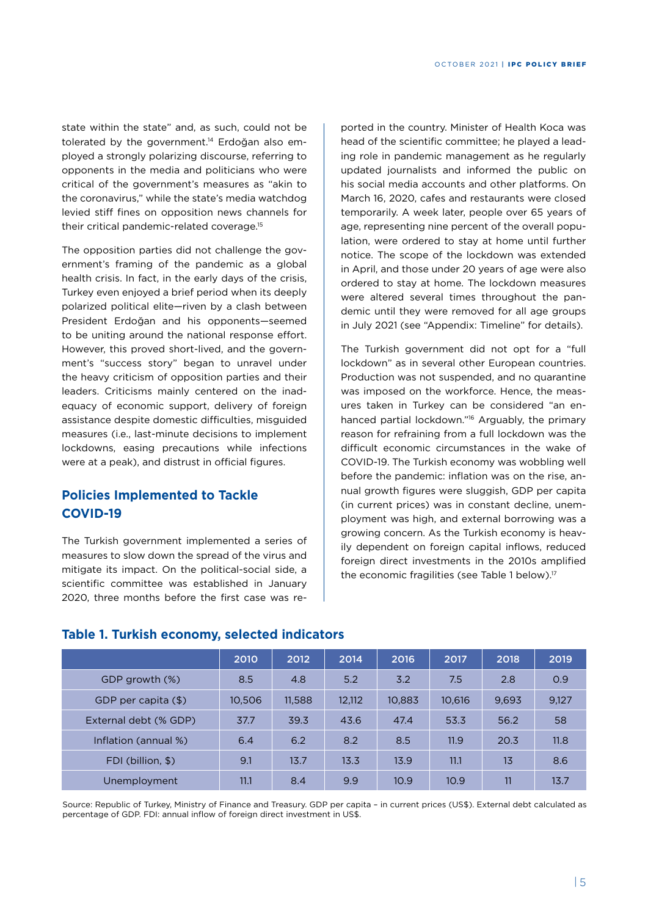state within the state" and, as such, could not be tolerated by the government.14 Erdoğan also employed a strongly polarizing discourse, referring to opponents in the media and politicians who were critical of the government's measures as "akin to the coronavirus," while the state's media watchdog levied stiff fines on opposition news channels for their critical pandemic-related coverage.15

The opposition parties did not challenge the government's framing of the pandemic as a global health crisis. In fact, in the early days of the crisis, Turkey even enjoyed a brief period when its deeply polarized political elite—riven by a clash between President Erdoğan and his opponents—seemed to be uniting around the national response effort. However, this proved short-lived, and the government's "success story" began to unravel under the heavy criticism of opposition parties and their leaders. Criticisms mainly centered on the inadequacy of economic support, delivery of foreign assistance despite domestic difficulties, misguided measures (i.e., last-minute decisions to implement lockdowns, easing precautions while infections were at a peak), and distrust in official figures.

# **Policies Implemented to Tackle COVID-19**

The Turkish government implemented a series of measures to slow down the spread of the virus and mitigate its impact. On the political-social side, a scientific committee was established in January 2020, three months before the first case was re-

ported in the country. Minister of Health Koca was head of the scientific committee; he played a leading role in pandemic management as he regularly updated journalists and informed the public on his social media accounts and other platforms. On March 16, 2020, cafes and restaurants were closed temporarily. A week later, people over 65 years of age, representing nine percent of the overall population, were ordered to stay at home until further notice. The scope of the lockdown was extended in April, and those under 20 years of age were also ordered to stay at home. The lockdown measures were altered several times throughout the pandemic until they were removed for all age groups in July 2021 (see "Appendix: Timeline" for details).

The Turkish government did not opt for a "full lockdown" as in several other European countries. Production was not suspended, and no quarantine was imposed on the workforce. Hence, the measures taken in Turkey can be considered "an enhanced partial lockdown."<sup>16</sup> Arguably, the primary reason for refraining from a full lockdown was the difficult economic circumstances in the wake of COVID-19. The Turkish economy was wobbling well before the pandemic: inflation was on the rise, annual growth figures were sluggish, GDP per capita (in current prices) was in constant decline, unemployment was high, and external borrowing was a growing concern. As the Turkish economy is heavily dependent on foreign capital inflows, reduced foreign direct investments in the 2010s amplified the economic fragilities (see Table 1 below).<sup>17</sup>

|                       | 2010   | 2012   | 2014   | 2016   | 2017   | 2018           | 2019  |
|-----------------------|--------|--------|--------|--------|--------|----------------|-------|
| GDP growth (%)        | 8.5    | 4.8    | 5.2    | 3.2    | 7.5    | 2.8            | 0.9   |
| GDP per capita (\$)   | 10,506 | 11,588 | 12,112 | 10,883 | 10,616 | 9,693          | 9,127 |
| External debt (% GDP) | 37.7   | 39.3   | 43.6   | 47.4   | 53.3   | 56.2           | 58    |
| Inflation (annual %)  | 6.4    | 6.2    | 8.2    | 8.5    | 11.9   | 20.3           | 11.8  |
| FDI (billion, \$)     | 9.1    | 13.7   | 13.3   | 13.9   | 11.1   | 1 <sub>3</sub> | 8.6   |
| <b>Unemployment</b>   | 11.1   | 8.4    | 9.9    | 10.9   | 10.9   | 11             | 13.7  |

## **Table 1. Turkish economy, selected indicators**

Source: Republic of Turkey, Ministry of Finance and Treasury. GDP per capita – in current prices (US\$). External debt calculated as percentage of GDP. FDI: annual inflow of foreign direct investment in US\$.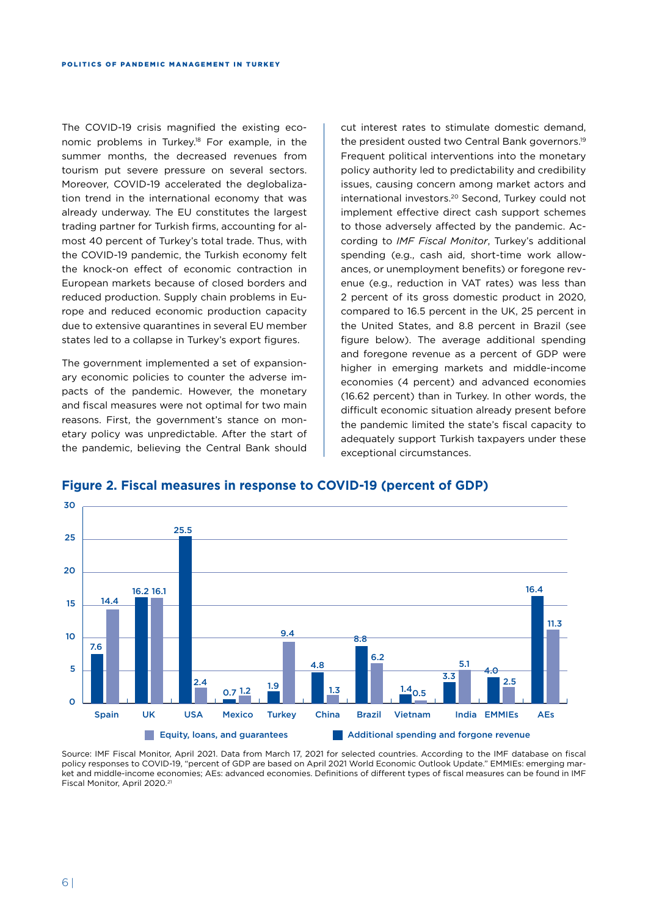The COVID-19 crisis magnified the existing economic problems in Turkey.<sup>18</sup> For example, in the summer months, the decreased revenues from tourism put severe pressure on several sectors. Moreover, COVID-19 accelerated the deglobalization trend in the international economy that was already underway. The EU constitutes the largest trading partner for Turkish firms, accounting for almost 40 percent of Turkey's total trade. Thus, with the COVID-19 pandemic, the Turkish economy felt the knock-on effect of economic contraction in European markets because of closed borders and reduced production. Supply chain problems in Europe and reduced economic production capacity due to extensive quarantines in several EU member states led to a collapse in Turkey's export figures.

The government implemented a set of expansionary economic policies to counter the adverse impacts of the pandemic. However, the monetary and fiscal measures were not optimal for two main reasons. First, the government's stance on monetary policy was unpredictable. After the start of the pandemic, believing the Central Bank should

cut interest rates to stimulate domestic demand, the president ousted two Central Bank governors.19 Frequent political interventions into the monetary policy authority led to predictability and credibility issues, causing concern among market actors and international investors.20 Second, Turkey could not implement effective direct cash support schemes to those adversely affected by the pandemic. According to *IMF Fiscal Monitor*, Turkey's additional spending (e.g., cash aid, short-time work allowances, or unemployment benefits) or foregone revenue (e.g., reduction in VAT rates) was less than 2 percent of its gross domestic product in 2020, compared to 16.5 percent in the UK, 25 percent in the United States, and 8.8 percent in Brazil (see figure below). The average additional spending and foregone revenue as a percent of GDP were higher in emerging markets and middle-income economies (4 percent) and advanced economies (16.62 percent) than in Turkey. In other words, the difficult economic situation already present before the pandemic limited the state's fiscal capacity to adequately support Turkish taxpayers under these exceptional circumstances.



#### **Figure 2. Fiscal measures in response to COVID-19 (percent of GDP)**

Source: IMF Fiscal Monitor, April 2021. Data from March 17, 2021 for selected countries. According to the IMF database on fiscal policy responses to COVID-19, "percent of GDP are based on April 2021 World Economic Outlook Update." EMMIEs: emerging market and middle-income economies; AEs: advanced economies. Definitions of different types of fiscal measures can be found in IMF Fiscal Monitor, April 2020.21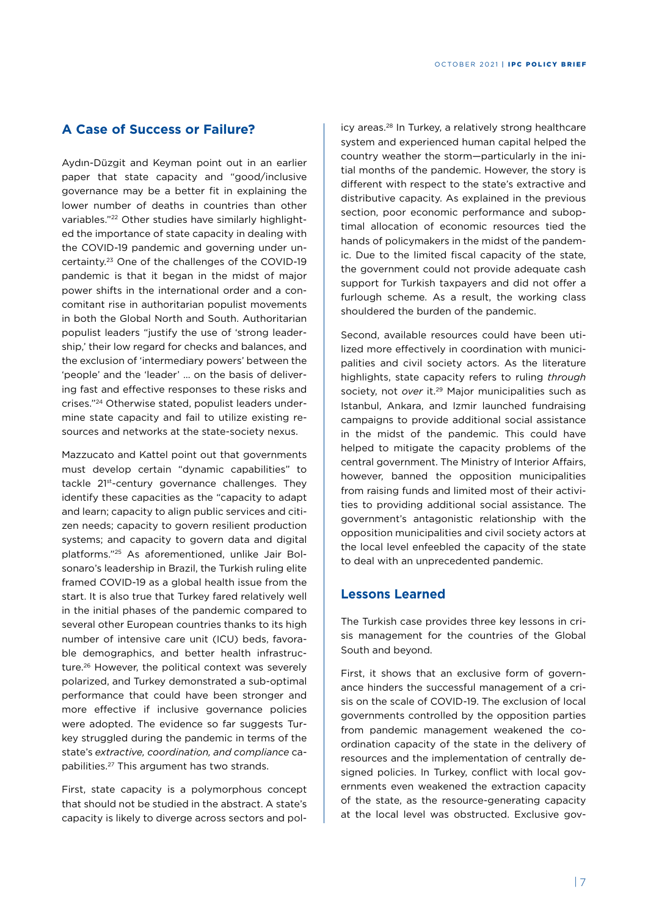# **A Case of Success or Failure?**

Aydın-Düzgit and Keyman point out in an earlier paper that state capacity and "good/inclusive governance may be a better fit in explaining the lower number of deaths in countries than other variables."22 Other studies have similarly highlighted the importance of state capacity in dealing with the COVID-19 pandemic and governing under uncertainty.23 One of the challenges of the COVID-19 pandemic is that it began in the midst of major power shifts in the international order and a concomitant rise in authoritarian populist movements in both the Global North and South. Authoritarian populist leaders "justify the use of 'strong leadership,' their low regard for checks and balances, and the exclusion of 'intermediary powers' between the 'people' and the 'leader' … on the basis of delivering fast and effective responses to these risks and crises."24 Otherwise stated, populist leaders undermine state capacity and fail to utilize existing resources and networks at the state-society nexus.

Mazzucato and Kattel point out that governments must develop certain "dynamic capabilities" to tackle 21st-century governance challenges. They identify these capacities as the "capacity to adapt and learn; capacity to align public services and citizen needs; capacity to govern resilient production systems; and capacity to govern data and digital platforms."25 As aforementioned, unlike Jair Bolsonaro's leadership in Brazil, the Turkish ruling elite framed COVID-19 as a global health issue from the start. It is also true that Turkey fared relatively well in the initial phases of the pandemic compared to several other European countries thanks to its high number of intensive care unit (ICU) beds, favorable demographics, and better health infrastructure.26 However, the political context was severely polarized, and Turkey demonstrated a sub-optimal performance that could have been stronger and more effective if inclusive governance policies were adopted. The evidence so far suggests Turkey struggled during the pandemic in terms of the state's *extractive, coordination, and compliance* capabilities.27 This argument has two strands.

First, state capacity is a polymorphous concept that should not be studied in the abstract. A state's capacity is likely to diverge across sectors and pol-

icy areas.28 In Turkey, a relatively strong healthcare system and experienced human capital helped the country weather the storm—particularly in the initial months of the pandemic. However, the story is different with respect to the state's extractive and distributive capacity. As explained in the previous section, poor economic performance and suboptimal allocation of economic resources tied the hands of policymakers in the midst of the pandemic. Due to the limited fiscal capacity of the state, the government could not provide adequate cash support for Turkish taxpayers and did not offer a furlough scheme. As a result, the working class shouldered the burden of the pandemic.

Second, available resources could have been utilized more effectively in coordination with municipalities and civil society actors. As the literature highlights, state capacity refers to ruling *through* society, not *over* it.29 Major municipalities such as Istanbul, Ankara, and Izmir launched fundraising campaigns to provide additional social assistance in the midst of the pandemic. This could have helped to mitigate the capacity problems of the central government. The Ministry of Interior Affairs, however, banned the opposition municipalities from raising funds and limited most of their activities to providing additional social assistance. The government's antagonistic relationship with the opposition municipalities and civil society actors at the local level enfeebled the capacity of the state to deal with an unprecedented pandemic.

## **Lessons Learned**

The Turkish case provides three key lessons in crisis management for the countries of the Global South and beyond.

First, it shows that an exclusive form of governance hinders the successful management of a crisis on the scale of COVID-19. The exclusion of local governments controlled by the opposition parties from pandemic management weakened the coordination capacity of the state in the delivery of resources and the implementation of centrally designed policies. In Turkey, conflict with local governments even weakened the extraction capacity of the state, as the resource-generating capacity at the local level was obstructed. Exclusive gov-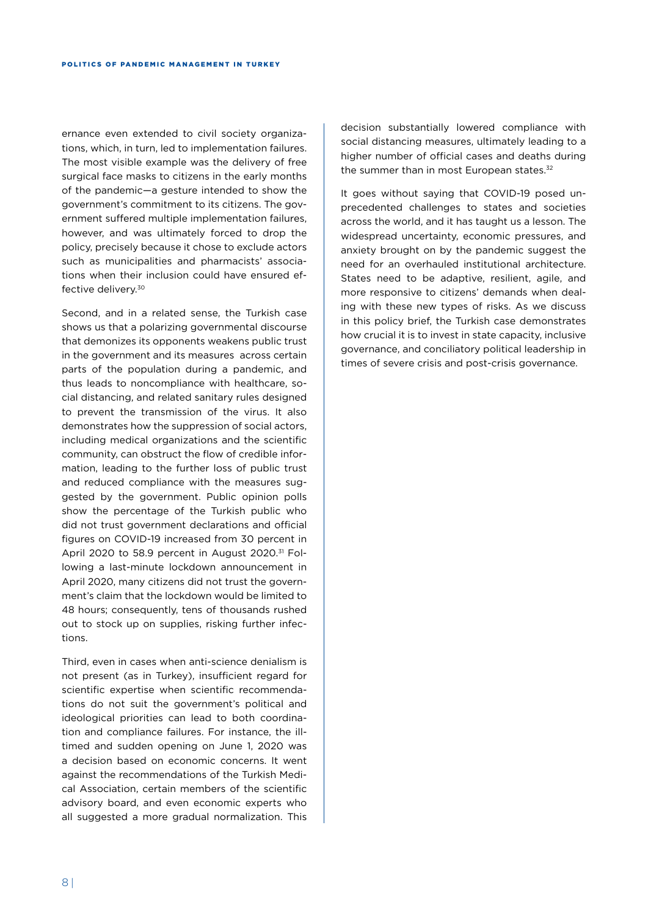ernance even extended to civil society organizations, which, in turn, led to implementation failures. The most visible example was the delivery of free surgical face masks to citizens in the early months of the pandemic—a gesture intended to show the government's commitment to its citizens. The government suffered multiple implementation failures, however, and was ultimately forced to drop the policy, precisely because it chose to exclude actors such as municipalities and pharmacists' associations when their inclusion could have ensured effective delivery.30

Second, and in a related sense, the Turkish case shows us that a polarizing governmental discourse that demonizes its opponents weakens public trust in the government and its measures across certain parts of the population during a pandemic, and thus leads to noncompliance with healthcare, social distancing, and related sanitary rules designed to prevent the transmission of the virus. It also demonstrates how the suppression of social actors, including medical organizations and the scientific community, can obstruct the flow of credible information, leading to the further loss of public trust and reduced compliance with the measures suggested by the government. Public opinion polls show the percentage of the Turkish public who did not trust government declarations and official figures on COVID-19 increased from 30 percent in April 2020 to 58.9 percent in August 2020.<sup>31</sup> Following a last-minute lockdown announcement in April 2020, many citizens did not trust the government's claim that the lockdown would be limited to 48 hours; consequently, tens of thousands rushed out to stock up on supplies, risking further infections.

Third, even in cases when anti-science denialism is not present (as in Turkey), insufficient regard for scientific expertise when scientific recommendations do not suit the government's political and ideological priorities can lead to both coordination and compliance failures. For instance, the illtimed and sudden opening on June 1, 2020 was a decision based on economic concerns. It went against the recommendations of the Turkish Medical Association, certain members of the scientific advisory board, and even economic experts who all suggested a more gradual normalization. This

decision substantially lowered compliance with social distancing measures, ultimately leading to a higher number of official cases and deaths during the summer than in most European states.<sup>32</sup>

It goes without saying that COVID-19 posed unprecedented challenges to states and societies across the world, and it has taught us a lesson. The widespread uncertainty, economic pressures, and anxiety brought on by the pandemic suggest the need for an overhauled institutional architecture. States need to be adaptive, resilient, agile, and more responsive to citizens' demands when dealing with these new types of risks. As we discuss in this policy brief, the Turkish case demonstrates how crucial it is to invest in state capacity, inclusive governance, and conciliatory political leadership in times of severe crisis and post-crisis governance.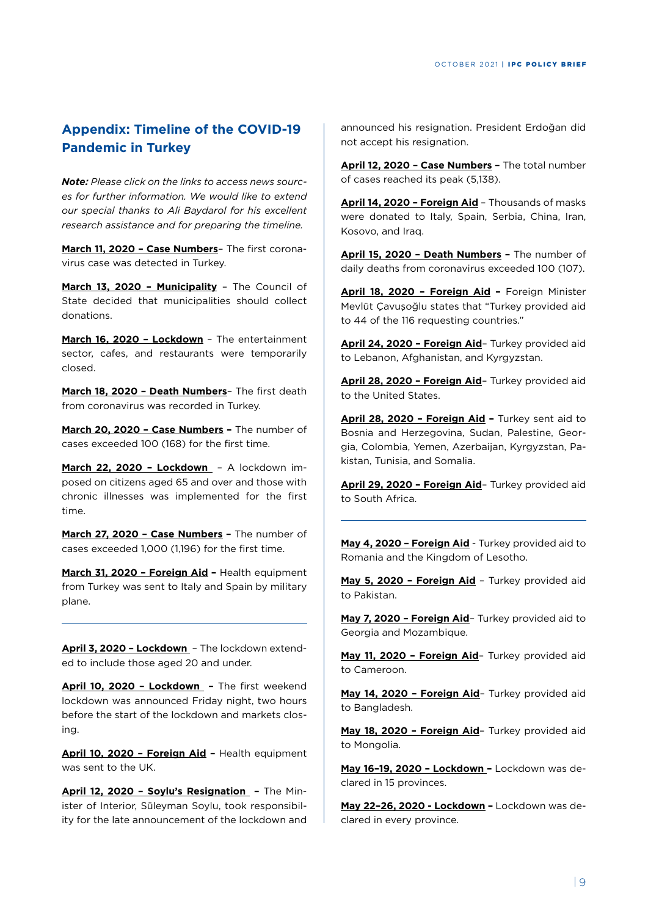# **Appendix: Timeline of the COVID-19 Pandemic in Turkey**

*Note: Please click on the links to access news sources for further information. We would like to extend our special thanks to Ali Baydarol for his excellent research assistance and for preparing the timeline.* 

**March 11, 2020 – Case Numbers**– The first coronavirus case was detected in Turkey.

**March 13, 2020 – Municipality** – The Council of State decided that municipalities should collect donations.

**March 16, 2020 – Lockdown** – The entertainment sector, cafes, and restaurants were temporarily closed.

**March 18, 2020 – Death Numbers**– The first death from coronavirus was recorded in Turkey.

**March 20, 2020 – Case Numbers –** The number of cases exceeded 100 (168) for the first time.

**March 22, 2020 – Lockdown** – A lockdown imposed on citizens aged 65 and over and those with chronic illnesses was implemented for the first time.

**March 27, 2020 – Case Numbers –** The number of cases exceeded 1,000 (1,196) for the first time.

**March 31, 2020 – Foreign Aid –** Health equipment from Turkey was sent to Italy and Spain by military plane.

**April 3, 2020 – Lockdown** – The lockdown extended to include those aged 20 and under.

**April 10, 2020 – Lockdown –** The first weekend lockdown was announced Friday night, two hours before the start of the lockdown and markets closing.

**April 10, 2020 – Foreign Aid –** Health equipment was sent to the UK.

**April 12, 2020 – Soylu's Resignation –** The Minister of Interior, Süleyman Soylu, took responsibility for the late announcement of the lockdown and

announced his resignation. President Erdoğan did not accept his resignation.

**April 12, 2020 – Case Numbers –** The total number of cases reached its peak (5,138).

**April 14, 2020 – Foreign Aid** – Thousands of masks were donated to Italy, Spain, Serbia, China, Iran, Kosovo, and Iraq.

**April 15, 2020 – Death Numbers –** The number of daily deaths from coronavirus exceeded 100 (107).

**April 18, 2020 – Foreign Aid –** Foreign Minister Mevlüt Çavuşoğlu states that "Turkey provided aid to 44 of the 116 requesting countries."

**April 24, 2020 – Foreign Aid**– Turkey provided aid to Lebanon, Afghanistan, and Kyrgyzstan.

**April 28, 2020 – Foreign Aid**– Turkey provided aid to the United States.

**April 28, 2020 – Foreign Aid –** Turkey sent aid to Bosnia and Herzegovina, Sudan, Palestine, Georgia, Colombia, Yemen, Azerbaijan, Kyrgyzstan, Pakistan, Tunisia, and Somalia.

**April 29, 2020 – Foreign Aid**– Turkey provided aid to South Africa.

**May 4, 2020 – Foreign Aid** - Turkey provided aid to Romania and the Kingdom of Lesotho.

**May 5, 2020 – Foreign Aid** – Turkey provided aid to Pakistan.

**May 7, 2020 – Foreign Aid**– Turkey provided aid to Georgia and Mozambique.

**May 11, 2020 – Foreign Aid**– Turkey provided aid to Cameroon.

**May 14, 2020 – Foreign Aid**– Turkey provided aid to Bangladesh.

**May 18, 2020 – Foreign Aid**– Turkey provided aid to Mongolia.

**May 16–19, 2020 – Lockdown –** Lockdown was declared in 15 provinces.

**May 22–26, 2020 - Lockdown –** Lockdown was declared in every province.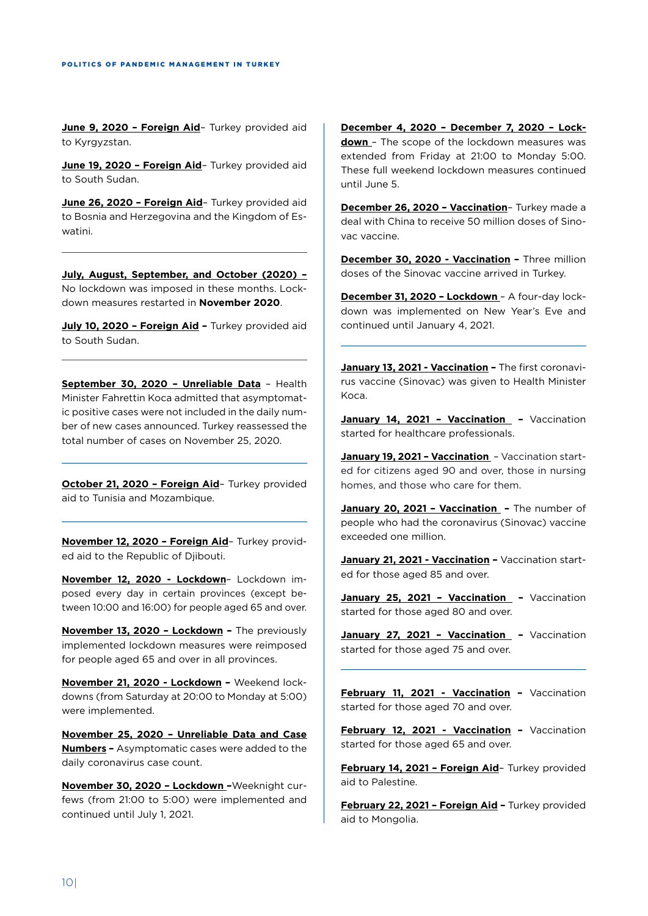**June 9, 2020 - Foreign Aid-** Turkey provided aid to Kyrgyzstan.

June 19, 2020 - Foreign Aid- Turkey provided aid to South Sudan.

**June 26, 2020 – Foreign Aid**– Turkey provided aid to Bosnia and Herzegovina and the Kingdom of Eswatini.

**July, August, September, and October (2020) –**  No lockdown was imposed in these months. Lockdown measures restarted in **November 2020**.

July 10, 2020 - Foreign Aid - Turkey provided aid to South Sudan.

**September 30, 2020 – Unreliable Data** – Health Minister Fahrettin Koca admitted that asymptomatic positive cases were not included in the daily number of new cases announced. Turkey reassessed the total number of cases on November 25, 2020.

**October 21, 2020 – Foreign Aid**– Turkey provided aid to Tunisia and Mozambique.

**November 12, 2020 – Foreign Aid**– Turkey provided aid to the Republic of Djibouti.

**November 12, 2020 - Lockdown**– Lockdown imposed every day in certain provinces (except between 10:00 and 16:00) for people aged 65 and over.

**November 13, 2020 – Lockdown –** The previously implemented lockdown measures were reimposed for people aged 65 and over in all provinces.

**November 21, 2020 - Lockdown –** Weekend lockdowns (from Saturday at 20:00 to Monday at 5:00) were implemented.

**November 25, 2020 – Unreliable Data and Case Numbers –** Asymptomatic cases were added to the daily coronavirus case count.

**November 30, 2020 – Lockdown –**Weeknight curfews (from 21:00 to 5:00) were implemented and continued until July 1, 2021.

**December 4, 2020 – December 7, 2020 – Lockdown** – The scope of the lockdown measures was extended from Friday at 21:00 to Monday 5:00. These full weekend lockdown measures continued until June 5.

**December 26, 2020 – Vaccination**– Turkey made a deal with China to receive 50 million doses of Sinovac vaccine.

**December 30, 2020 - Vaccination –** Three million doses of the Sinovac vaccine arrived in Turkey.

**December 31, 2020 – Lockdown** – A four-day lockdown was implemented on New Year's Eve and continued until January 4, 2021.

**January 13, 2021 - Vaccination –** The first coronavirus vaccine (Sinovac) was given to Health Minister Koca.

January 14, 2021 - Vaccination - Vaccination started for healthcare professionals.

**January 19, 2021 – Vaccination** – Vaccination started for citizens aged 90 and over, those in nursing homes, and those who care for them.

**January 20, 2021 – Vaccination –** The number of people who had the coronavirus (Sinovac) vaccine exceeded one million.

**January 21, 2021 - Vaccination –** Vaccination started for those aged 85 and over.

January 25, 2021 - Vaccination - Vaccination started for those aged 80 and over.

January 27, 2021 - Vaccination - Vaccination started for those aged 75 and over.

**February 11, 2021 - Vaccination –** Vaccination started for those aged 70 and over.

**February 12, 2021 - Vaccination –** Vaccination started for those aged 65 and over.

**February 14, 2021 – Foreign Aid**– Turkey provided aid to Palestine.

**February 22, 2021 – Foreign Aid –** Turkey provided aid to Mongolia.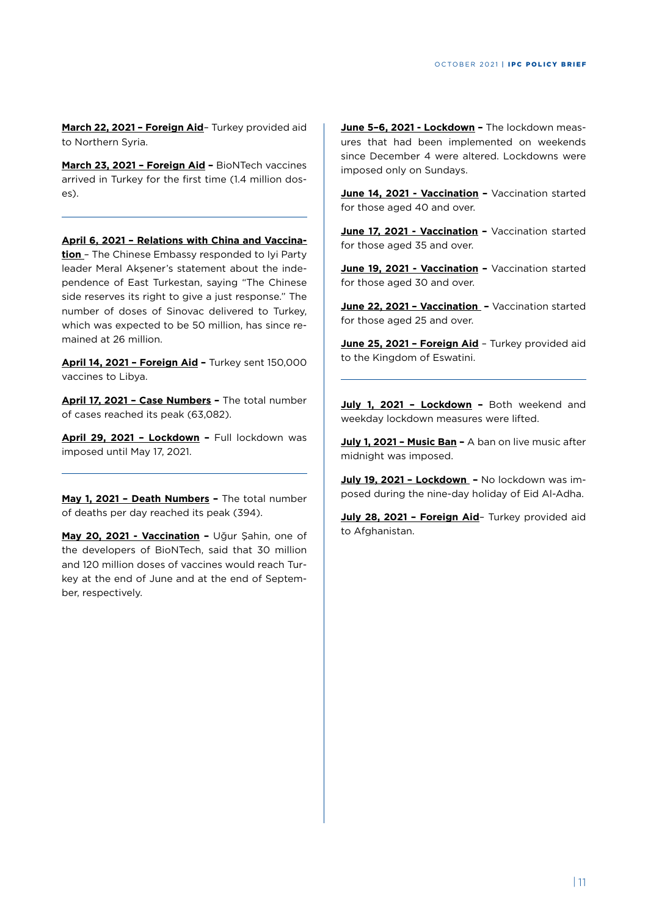**March 22, 2021 – Foreign Aid**– Turkey provided aid to Northern Syria.

**March 23, 2021 – Foreign Aid –** BioNTech vaccines arrived in Turkey for the first time (1.4 million doses).

**April 6, 2021 – Relations with China and Vaccination** – The Chinese Embassy responded to Iyi Party leader Meral Akşener's statement about the independence of East Turkestan, saying "The Chinese side reserves its right to give a just response." The number of doses of Sinovac delivered to Turkey, which was expected to be 50 million, has since remained at 26 million.

**April 14, 2021 – Foreign Aid –** Turkey sent 150,000 vaccines to Libya.

**April 17, 2021 – Case Numbers –** The total number of cases reached its peak (63,082).

**April 29, 2021 – Lockdown –** Full lockdown was imposed until May 17, 2021.

**May 1, 2021 – Death Numbers –** The total number of deaths per day reached its peak (394).

**May 20, 2021 - Vaccination –** Uğur Şahin, one of the developers of BioNTech, said that 30 million and 120 million doses of vaccines would reach Turkey at the end of June and at the end of September, respectively.

**June 5–6, 2021 - Lockdown –** The lockdown measures that had been implemented on weekends since December 4 were altered. Lockdowns were imposed only on Sundays.

**June 14, 2021 - Vaccination –** Vaccination started for those aged 40 and over.

June 17, 2021 - Vaccination - Vaccination started for those aged 35 and over.

June 19, 2021 - Vaccination - Vaccination started for those aged 30 and over.

**June 22, 2021 – Vaccination –** Vaccination started for those aged 25 and over.

**June 25, 2021 - Foreign Aid** - Turkey provided aid to the Kingdom of Eswatini.

July 1, 2021 - Lockdown - Both weekend and weekday lockdown measures were lifted.

**July 1, 2021 – Music Ban –** A ban on live music after midnight was imposed.

**July 19, 2021 – Lockdown –** No lockdown was imposed during the nine-day holiday of Eid Al-Adha.

**July 28, 2021 – Foreign Aid**– Turkey provided aid to Afghanistan.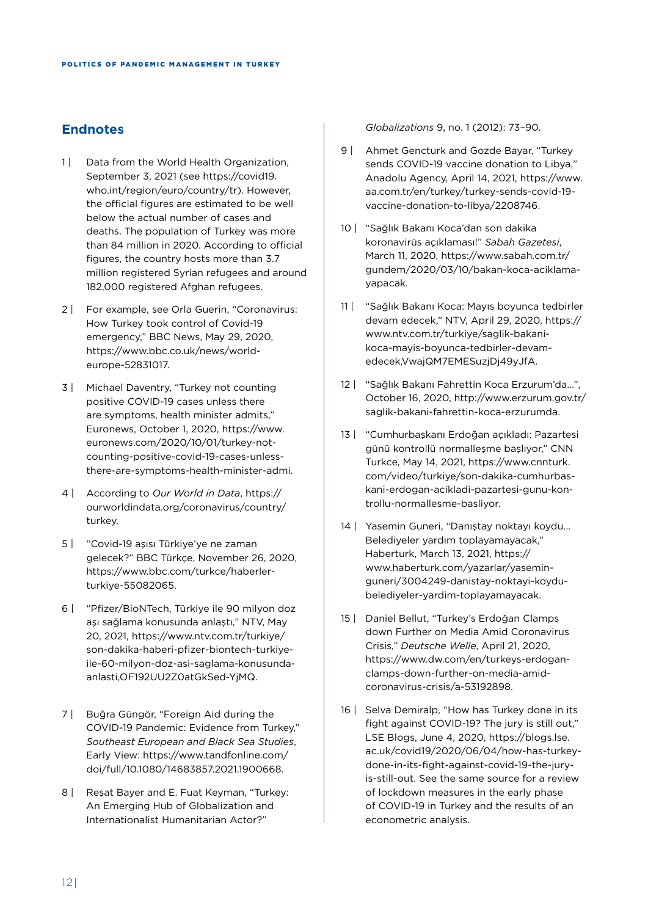## **Endnotes**

- 1 | Data from the World Health Organization, September 3, 2021 (see https://covid19. who.int/region/euro/country/tr). However, the official figures are estimated to be well below the actual number of cases and deaths. The population of Turkey was more than 84 million in 2020. According to official figures, the country hosts more than 3.7 million registered Syrian refugees and around 182,000 registered Afghan refugees.
- 2 | For example, see Orla Guerin, "Coronavirus: How Turkey took control of Covid-19 emergency," BBC News, May 29, 2020, https://www.bbc.co.uk/news/worldeurope-52831017.
- 3 | Michael Daventry, "Turkey not counting positive COVID-19 cases unless there are symptoms, health minister admits," Euronews, October 1, 2020, https://www. euronews.com/2020/10/01/turkey-notcounting-positive-covid-19-cases-unlessthere-are-symptoms-health-minister-admi.
- 4 | According to *Our World in Data*, https:// ourworldindata.org/coronavirus/country/ turkey.
- 5 | "Covid-19 aşısı Türkiye'ye ne zaman gelecek?" BBC Türkçe, November 26, 2020, https://www.bbc.com/turkce/haberlerturkiye-55082065.
- 6 | "Pfizer/BioNTech, Türkiye ile 90 milyon doz aşı sağlama konusunda anlaştı," NTV, May 20, 2021, https://www.ntv.com.tr/turkiye/ son-dakika-haberi-pfizer-biontech-turkiyeile-60-milyon-doz-asi-saglama-konusundaanlasti,OF192UU2Z0atGkSed-YjMQ.
- 7 | Buğra Güngör, "Foreign Aid during the COVID-19 Pandemic: Evidence from Turkey," *Southeast European and Black Sea Studies*, Early View: https://www.tandfonline.com/ doi/full/10.1080/14683857.2021.1900668.
- 8 | Resat Bayer and E. Fuat Keyman, "Turkey: An Emerging Hub of Globalization and Internationalist Humanitarian Actor?"

*Globalizations* 9, no. 1 (2012): 73–90.

- 9 | Ahmet Gencturk and Gozde Bayar, "Turkey sends COVID-19 vaccine donation to Libya," Anadolu Agency, April 14, 2021, https://www. aa.com.tr/en/turkey/turkey-sends-covid-19 vaccine-donation-to-libya/2208746.
- 10 | "Sağlık Bakanı Koca'dan son dakika koronavirüs açıklaması!" *Sabah Gazetesi*, March 11, 2020, https://www.sabah.com.tr/ gundem/2020/03/10/bakan-koca-aciklamayapacak.
- 11 | "Sağlık Bakanı Koca: Mayıs boyunca tedbirler devam edecek," NTV, April 29, 2020, https:// www.ntv.com.tr/turkiye/saglik-bakanikoca-mayis-boyunca-tedbirler-devamedecek,VwajQM7EMESuzjDj49yJfA.
- 12 | "Sağlık Bakanı Fahrettin Koca Erzurum'da...", October 16, 2020, http://www.erzurum.gov.tr/ saglik-bakani-fahrettin-koca-erzurumda.
- 13 | "Cumhurbaşkanı Erdoğan açıkladı: Pazartesi günü kontrollü normalleşme başlıyor," CNN Turkce, May 14, 2021, https://www.cnnturk. com/video/turkiye/son-dakika-cumhurbaskani-erdogan-acikladi-pazartesi-gunu-kontrollu-normallesme-basliyor.
- 14 | Yasemin Guneri, "Danıştay noktayı koydu… Belediyeler yardım toplayamayacak," Haberturk, March 13, 2021, https:// www.haberturk.com/yazarlar/yaseminguneri/3004249-danistay-noktayi-koydubelediyeler-yardim-toplayamayacak.
- 15 | Daniel Bellut, "Turkey's Erdoğan Clamps down Further on Media Amid Coronavirus Crisis," *Deutsche Welle*, April 21, 2020, https://www.dw.com/en/turkeys-erdoganclamps-down-further-on-media-amidcoronavirus-crisis/a-53192898.
- 16 | Selva Demiralp, "How has Turkey done in its fight against COVID-19? The jury is still out," LSE Blogs, June 4, 2020, https://blogs.lse. ac.uk/covid19/2020/06/04/how-has-turkeydone-in-its-fight-against-covid-19-the-juryis-still-out. See the same source for a review of lockdown measures in the early phase of COVID-19 in Turkey and the results of an econometric analysis.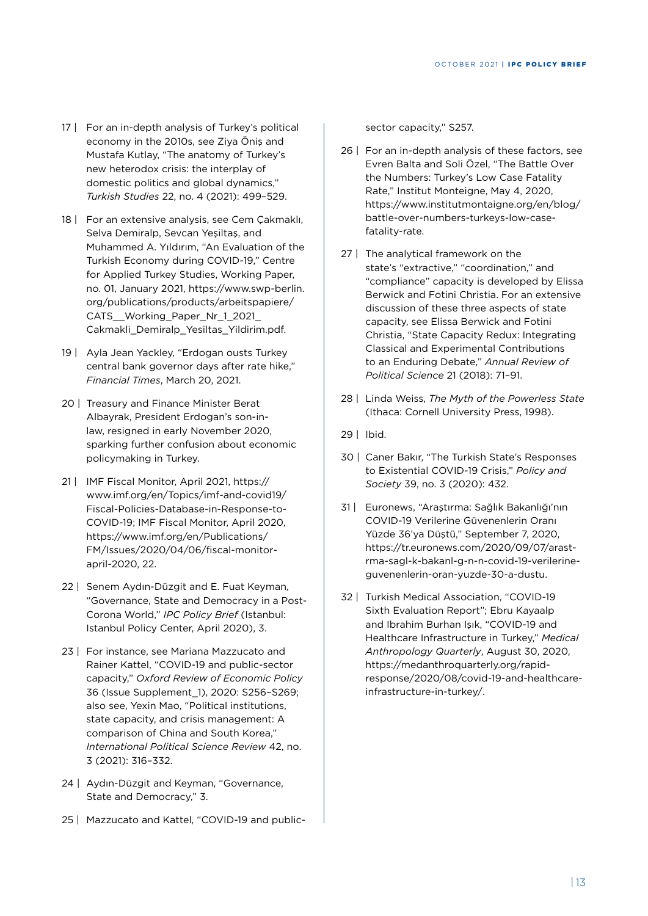- 17 | For an in-depth analysis of Turkey's political economy in the 2010s, see Ziya Öniş and Mustafa Kutlay, "The anatomy of Turkey's new heterodox crisis: the interplay of domestic politics and global dynamics," *Turkish Studies* 22, no. 4 (2021): 499–529.
- 18 | For an extensive analysis, see Cem Çakmaklı, Selva Demiralp, Sevcan Yeşiltaş, and Muhammed A. Yıldırım, "An Evaluation of the Turkish Economy during COVID-19," Centre for Applied Turkey Studies, Working Paper, no. 01, January 2021, https://www.swp-berlin. org/publications/products/arbeitspapiere/ CATS Working Paper Nr 1 2021 Cakmakli\_Demiralp\_Yesiltas\_Yildirim.pdf.
- 19 | Ayla Jean Yackley, "Erdogan ousts Turkey central bank governor days after rate hike," *Financial Times*, March 20, 2021.
- 20 | Treasury and Finance Minister Berat Albayrak, President Erdogan's son-inlaw, resigned in early November 2020, sparking further confusion about economic policymaking in Turkey.
- 21 | IMF Fiscal Monitor, April 2021, https:// www.imf.org/en/Topics/imf-and-covid19/ Fiscal-Policies-Database-in-Response-to-COVID-19; IMF Fiscal Monitor, April 2020, https://www.imf.org/en/Publications/ FM/Issues/2020/04/06/fiscal-monitorapril-2020, 22.
- 22 | Senem Aydın-Düzgit and E. Fuat Keyman, "Governance, State and Democracy in a Post-Corona World," *IPC Policy Brief* (Istanbul: Istanbul Policy Center, April 2020), 3.
- 23 | For instance, see Mariana Mazzucato and Rainer Kattel, "COVID-19 and public-sector capacity," *Oxford Review of Economic Policy*  36 (Issue Supplement\_1), 2020: S256–S269; also see, Yexin Mao, "Political institutions, state capacity, and crisis management: A comparison of China and South Korea," *International Political Science Review* 42, no. 3 (2021): 316–332.
- 24 | Aydın-Düzgit and Keyman, "Governance, State and Democracy," 3.
- 25 | Mazzucato and Kattel, "COVID-19 and public-

sector capacity," S257.

- 26 | For an in-depth analysis of these factors, see Evren Balta and Soli Özel, "The Battle Over the Numbers: Turkey's Low Case Fatality Rate," Institut Monteigne, May 4, 2020, https://www.institutmontaigne.org/en/blog/ battle-over-numbers-turkeys-low-casefatality-rate.
- 27 | The analytical framework on the state's "extractive," "coordination," and "compliance" capacity is developed by Elissa Berwick and Fotini Christia. For an extensive discussion of these three aspects of state capacity, see Elissa Berwick and Fotini Christia, "State Capacity Redux: Integrating Classical and Experimental Contributions to an Enduring Debate," *Annual Review of Political Science* 21 (2018): 71–91.
- 28 | Linda Weiss, *The Myth of the Powerless State*  (Ithaca: Cornell University Press, 1998).
- 29 | Ibid.
- 30 | Caner Bakır, "The Turkish State's Responses to Existential COVID-19 Crisis," *Policy and Society* 39, no. 3 (2020): 432.
- 31 | Euronews, "Araştırma: Sağlık Bakanlığı'nın COVID-19 Verilerine Güvenenlerin Oranı Yüzde 36'ya Düştü," September 7, 2020, https://tr.euronews.com/2020/09/07/arastrma-sagl-k-bakanl-g-n-n-covid-19-verilerineguvenenlerin-oran-yuzde-30-a-dustu.
- 32 | Turkish Medical Association, "COVID-19 Sixth Evaluation Report"; Ebru Kayaalp and Ibrahim Burhan Işık, "COVID-19 and Healthcare Infrastructure in Turkey," *Medical Anthropology Quarterly*, August 30, 2020, https://medanthroquarterly.org/rapidresponse/2020/08/covid-19-and-healthcareinfrastructure-in-turkey/.